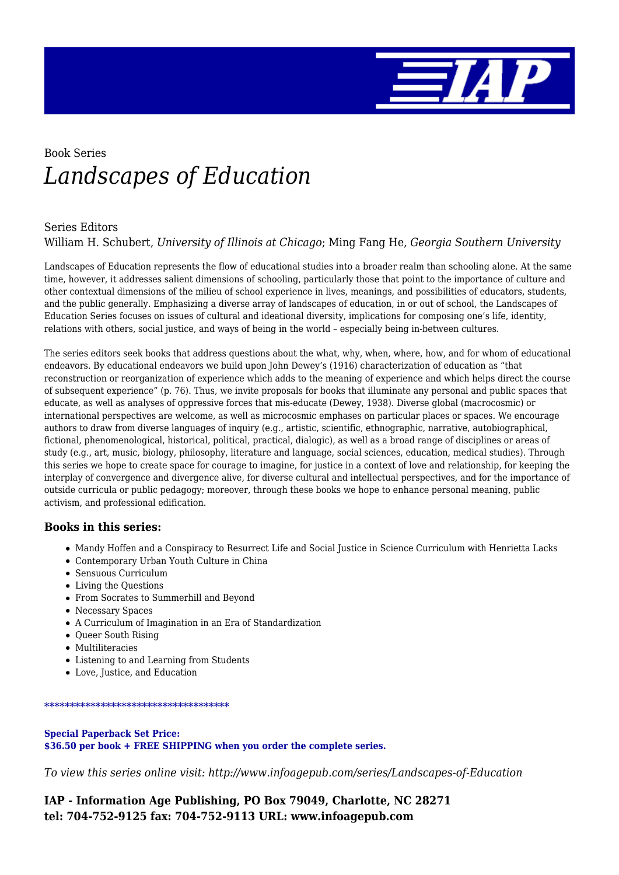

# Book Series *Landscapes of Education*

#### Series Editors

William H. Schubert, *University of Illinois at Chicago*; Ming Fang He, *Georgia Southern University*

Landscapes of Education represents the flow of educational studies into a broader realm than schooling alone. At the same time, however, it addresses salient dimensions of schooling, particularly those that point to the importance of culture and other contextual dimensions of the milieu of school experience in lives, meanings, and possibilities of educators, students, and the public generally. Emphasizing a diverse array of landscapes of education, in or out of school, the Landscapes of Education Series focuses on issues of cultural and ideational diversity, implications for composing one's life, identity, relations with others, social justice, and ways of being in the world – especially being in-between cultures.

The series editors seek books that address questions about the what, why, when, where, how, and for whom of educational endeavors. By educational endeavors we build upon John Dewey's (1916) characterization of education as "that reconstruction or reorganization of experience which adds to the meaning of experience and which helps direct the course of subsequent experience" (p. 76). Thus, we invite proposals for books that illuminate any personal and public spaces that educate, as well as analyses of oppressive forces that mis-educate (Dewey, 1938). Diverse global (macrocosmic) or international perspectives are welcome, as well as microcosmic emphases on particular places or spaces. We encourage authors to draw from diverse languages of inquiry (e.g., artistic, scientific, ethnographic, narrative, autobiographical, fictional, phenomenological, historical, political, practical, dialogic), as well as a broad range of disciplines or areas of study (e.g., art, music, biology, philosophy, literature and language, social sciences, education, medical studies). Through this series we hope to create space for courage to imagine, for justice in a context of love and relationship, for keeping the interplay of convergence and divergence alive, for diverse cultural and intellectual perspectives, and for the importance of outside curricula or public pedagogy; moreover, through these books we hope to enhance personal meaning, public activism, and professional edification.

#### **Books in this series:**

- Mandy Hoffen and a Conspiracy to Resurrect Life and Social Justice in Science Curriculum with Henrietta Lacks
- Contemporary Urban Youth Culture in China
- Sensuous Curriculum
- Living the Questions
- From Socrates to Summerhill and Beyond
- Necessary Spaces
- A Curriculum of Imagination in an Era of Standardization
- Queer South Rising
- Multiliteracies
- Listening to and Learning from Students
- Love, Justice, and Education

#### \*\*\*\*\*\*\*\*\*\*\*\*\*\*\*\*\*\*\*\*\*\*\*\*\*\*\*\*\*\*\*\*\*\*\*\*

**Special Paperback Set Price: \$36.50 per book + FREE SHIPPING when you order the complete series.**

*To view this series online visit: http://www.infoagepub.com/series/Landscapes-of-Education*

**IAP - Information Age Publishing, PO Box 79049, Charlotte, NC 28271 tel: 704-752-9125 fax: 704-752-9113 URL: www.infoagepub.com**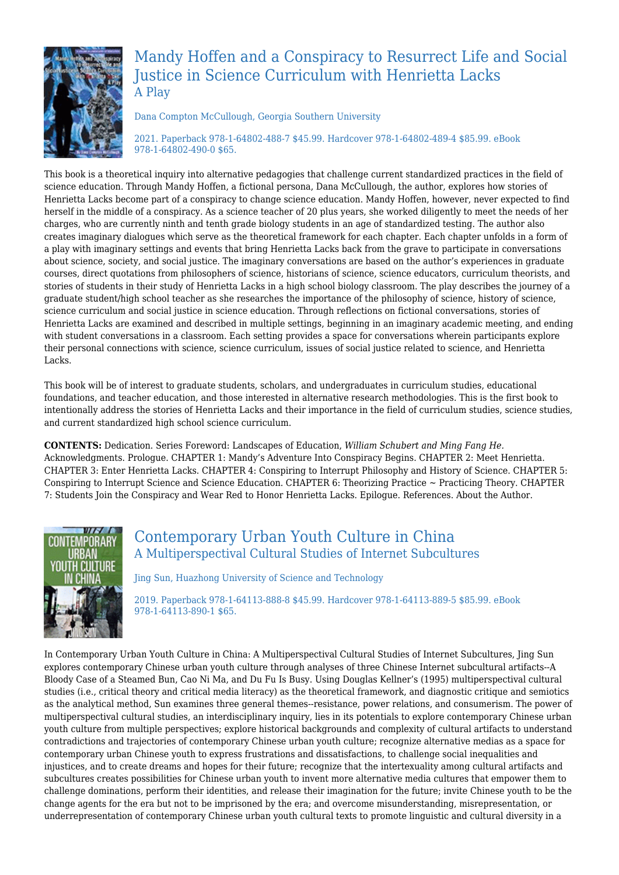

# Mandy Hoffen and a Conspiracy to Resurrect Life and Social Justice in Science Curriculum with Henrietta Lacks A Play

Dana Compton McCullough, Georgia Southern University

2021. Paperback 978-1-64802-488-7 \$45.99. Hardcover 978-1-64802-489-4 \$85.99. eBook 978-1-64802-490-0 \$65.

This book is a theoretical inquiry into alternative pedagogies that challenge current standardized practices in the field of science education. Through Mandy Hoffen, a fictional persona, Dana McCullough, the author, explores how stories of Henrietta Lacks become part of a conspiracy to change science education. Mandy Hoffen, however, never expected to find herself in the middle of a conspiracy. As a science teacher of 20 plus years, she worked diligently to meet the needs of her charges, who are currently ninth and tenth grade biology students in an age of standardized testing. The author also creates imaginary dialogues which serve as the theoretical framework for each chapter. Each chapter unfolds in a form of a play with imaginary settings and events that bring Henrietta Lacks back from the grave to participate in conversations about science, society, and social justice. The imaginary conversations are based on the author's experiences in graduate courses, direct quotations from philosophers of science, historians of science, science educators, curriculum theorists, and stories of students in their study of Henrietta Lacks in a high school biology classroom. The play describes the journey of a graduate student/high school teacher as she researches the importance of the philosophy of science, history of science, science curriculum and social justice in science education. Through reflections on fictional conversations, stories of Henrietta Lacks are examined and described in multiple settings, beginning in an imaginary academic meeting, and ending with student conversations in a classroom. Each setting provides a space for conversations wherein participants explore their personal connections with science, science curriculum, issues of social justice related to science, and Henrietta Lacks.

This book will be of interest to graduate students, scholars, and undergraduates in curriculum studies, educational foundations, and teacher education, and those interested in alternative research methodologies. This is the first book to intentionally address the stories of Henrietta Lacks and their importance in the field of curriculum studies, science studies, and current standardized high school science curriculum.

**CONTENTS:** Dedication. Series Foreword: Landscapes of Education, *William Schubert and Ming Fang He.* Acknowledgments. Prologue. CHAPTER 1: Mandy's Adventure Into Conspiracy Begins. CHAPTER 2: Meet Henrietta. CHAPTER 3: Enter Henrietta Lacks. CHAPTER 4: Conspiring to Interrupt Philosophy and History of Science. CHAPTER 5: Conspiring to Interrupt Science and Science Education. CHAPTER 6: Theorizing Practice ~ Practicing Theory. CHAPTER 7: Students Join the Conspiracy and Wear Red to Honor Henrietta Lacks. Epilogue. References. About the Author.



### Contemporary Urban Youth Culture in China A Multiperspectival Cultural Studies of Internet Subcultures

Jing Sun, Huazhong University of Science and Technology

2019. Paperback 978-1-64113-888-8 \$45.99. Hardcover 978-1-64113-889-5 \$85.99. eBook 978-1-64113-890-1 \$65.

In Contemporary Urban Youth Culture in China: A Multiperspectival Cultural Studies of Internet Subcultures, Jing Sun explores contemporary Chinese urban youth culture through analyses of three Chinese Internet subcultural artifacts--A Bloody Case of a Steamed Bun, Cao Ni Ma, and Du Fu Is Busy. Using Douglas Kellner's (1995) multiperspectival cultural studies (i.e., critical theory and critical media literacy) as the theoretical framework, and diagnostic critique and semiotics as the analytical method, Sun examines three general themes--resistance, power relations, and consumerism. The power of multiperspectival cultural studies, an interdisciplinary inquiry, lies in its potentials to explore contemporary Chinese urban youth culture from multiple perspectives; explore historical backgrounds and complexity of cultural artifacts to understand contradictions and trajectories of contemporary Chinese urban youth culture; recognize alternative medias as a space for contemporary urban Chinese youth to express frustrations and dissatisfactions, to challenge social inequalities and injustices, and to create dreams and hopes for their future; recognize that the intertexuality among cultural artifacts and subcultures creates possibilities for Chinese urban youth to invent more alternative media cultures that empower them to challenge dominations, perform their identities, and release their imagination for the future; invite Chinese youth to be the change agents for the era but not to be imprisoned by the era; and overcome misunderstanding, misrepresentation, or underrepresentation of contemporary Chinese urban youth cultural texts to promote linguistic and cultural diversity in a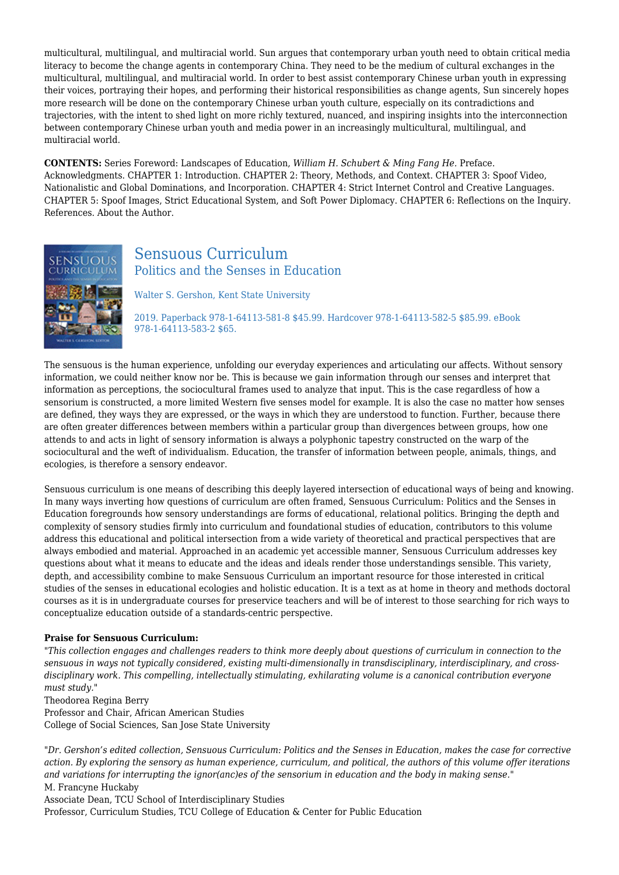multicultural, multilingual, and multiracial world. Sun argues that contemporary urban youth need to obtain critical media literacy to become the change agents in contemporary China. They need to be the medium of cultural exchanges in the multicultural, multilingual, and multiracial world. In order to best assist contemporary Chinese urban youth in expressing their voices, portraying their hopes, and performing their historical responsibilities as change agents, Sun sincerely hopes more research will be done on the contemporary Chinese urban youth culture, especially on its contradictions and trajectories, with the intent to shed light on more richly textured, nuanced, and inspiring insights into the interconnection between contemporary Chinese urban youth and media power in an increasingly multicultural, multilingual, and multiracial world.

**CONTENTS:** Series Foreword: Landscapes of Education, *William H. Schubert & Ming Fang He.* Preface. Acknowledgments. CHAPTER 1: Introduction. CHAPTER 2: Theory, Methods, and Context. CHAPTER 3: Spoof Video, Nationalistic and Global Dominations, and Incorporation. CHAPTER 4: Strict Internet Control and Creative Languages. CHAPTER 5: Spoof Images, Strict Educational System, and Soft Power Diplomacy. CHAPTER 6: Reflections on the Inquiry. References. About the Author.



### Sensuous Curriculum Politics and the Senses in Education

Walter S. Gershon, Kent State University

2019. Paperback 978-1-64113-581-8 \$45.99. Hardcover 978-1-64113-582-5 \$85.99. eBook 978-1-64113-583-2 \$65.

The sensuous is the human experience, unfolding our everyday experiences and articulating our affects. Without sensory information, we could neither know nor be. This is because we gain information through our senses and interpret that information as perceptions, the sociocultural frames used to analyze that input. This is the case regardless of how a sensorium is constructed, a more limited Western five senses model for example. It is also the case no matter how senses are defined, they ways they are expressed, or the ways in which they are understood to function. Further, because there are often greater differences between members within a particular group than divergences between groups, how one attends to and acts in light of sensory information is always a polyphonic tapestry constructed on the warp of the sociocultural and the weft of individualism. Education, the transfer of information between people, animals, things, and ecologies, is therefore a sensory endeavor.

Sensuous curriculum is one means of describing this deeply layered intersection of educational ways of being and knowing. In many ways inverting how questions of curriculum are often framed, Sensuous Curriculum: Politics and the Senses in Education foregrounds how sensory understandings are forms of educational, relational politics. Bringing the depth and complexity of sensory studies firmly into curriculum and foundational studies of education, contributors to this volume address this educational and political intersection from a wide variety of theoretical and practical perspectives that are always embodied and material. Approached in an academic yet accessible manner, Sensuous Curriculum addresses key questions about what it means to educate and the ideas and ideals render those understandings sensible. This variety, depth, and accessibility combine to make Sensuous Curriculum an important resource for those interested in critical studies of the senses in educational ecologies and holistic education. It is a text as at home in theory and methods doctoral courses as it is in undergraduate courses for preservice teachers and will be of interest to those searching for rich ways to conceptualize education outside of a standards-centric perspective.

#### **Praise for Sensuous Curriculum:**

*"This collection engages and challenges readers to think more deeply about questions of curriculum in connection to the sensuous in ways not typically considered, existing multi-dimensionally in transdisciplinary, interdisciplinary, and crossdisciplinary work. This compelling, intellectually stimulating, exhilarating volume is a canonical contribution everyone must study."*

Theodorea Regina Berry Professor and Chair, African American Studies College of Social Sciences, San Jose State University

*"Dr. Gershon's edited collection, Sensuous Curriculum: Politics and the Senses in Education, makes the case for corrective action. By exploring the sensory as human experience, curriculum, and political, the authors of this volume offer iterations and variations for interrupting the ignor(anc)es of the sensorium in education and the body in making sense."* M. Francyne Huckaby

Associate Dean, TCU School of Interdisciplinary Studies Professor, Curriculum Studies, TCU College of Education & Center for Public Education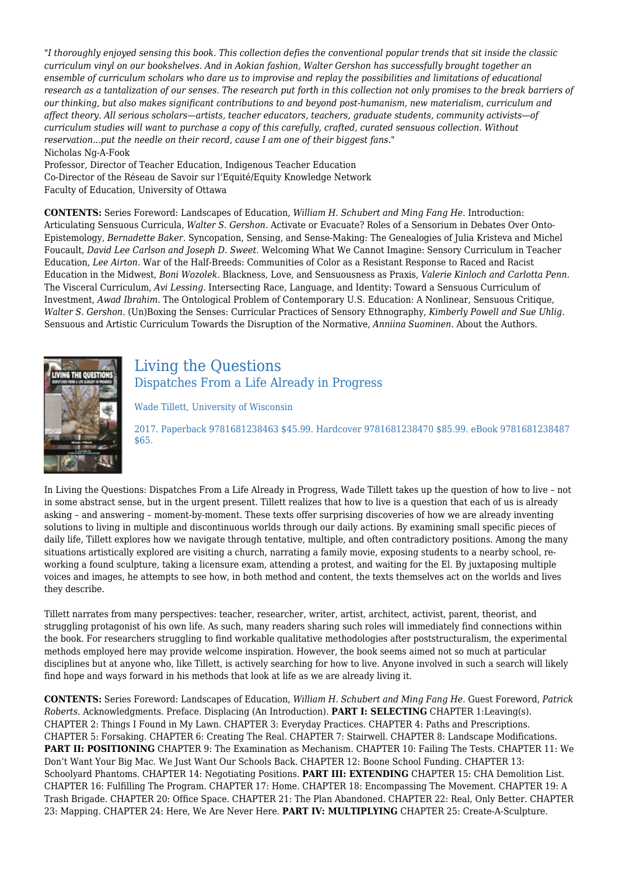*"I thoroughly enjoyed sensing this book. This collection defies the conventional popular trends that sit inside the classic curriculum vinyl on our bookshelves. And in Aokian fashion, Walter Gershon has successfully brought together an ensemble of curriculum scholars who dare us to improvise and replay the possibilities and limitations of educational research as a tantalization of our senses. The research put forth in this collection not only promises to the break barriers of our thinking, but also makes significant contributions to and beyond post-humanism, new materialism, curriculum and affect theory. All serious scholars—artists, teacher educators, teachers, graduate students, community activists—of curriculum studies will want to purchase a copy of this carefully, crafted, curated sensuous collection. Without reservation...put the needle on their record, cause I am one of their biggest fans."* Nicholas Ng-A-Fook

Professor, Director of Teacher Education, Indigenous Teacher Education Co-Director of the Réseau de Savoir sur l'Equité/Equity Knowledge Network Faculty of Education, University of Ottawa

**CONTENTS:** Series Foreword: Landscapes of Education, *William H. Schubert and Ming Fang He.* Introduction: Articulating Sensuous Curricula, *Walter S. Gershon.* Activate or Evacuate? Roles of a Sensorium in Debates Over Onto-Epistemology, *Bernadette Baker.* Syncopation, Sensing, and Sense-Making: The Genealogies of Julia Kristeva and Michel Foucault, *David Lee Carlson and Joseph D. Sweet.* Welcoming What We Cannot Imagine: Sensory Curriculum in Teacher Education, *Lee Airton.* War of the Half-Breeds: Communities of Color as a Resistant Response to Raced and Racist Education in the Midwest, *Boni Wozolek.* Blackness, Love, and Sensuousness as Praxis, *Valerie Kinloch and Carlotta Penn.* The Visceral Curriculum, *Avi Lessing.* Intersecting Race, Language, and Identity: Toward a Sensuous Curriculum of Investment, *Awad Ibrahim.* The Ontological Problem of Contemporary U.S. Education: A Nonlinear, Sensuous Critique, *Walter S. Gershon.* (Un)Boxing the Senses: Curricular Practices of Sensory Ethnography, *Kimberly Powell and Sue Uhlig.* Sensuous and Artistic Curriculum Towards the Disruption of the Normative, *Anniina Suominen.* About the Authors.



### Living the Questions Dispatches From a Life Already in Progress

Wade Tillett, University of Wisconsin

2017. Paperback 9781681238463 \$45.99. Hardcover 9781681238470 \$85.99. eBook 9781681238487 \$65.

In Living the Questions: Dispatches From a Life Already in Progress, Wade Tillett takes up the question of how to live – not in some abstract sense, but in the urgent present. Tillett realizes that how to live is a question that each of us is already asking – and answering – moment-by-moment. These texts offer surprising discoveries of how we are already inventing solutions to living in multiple and discontinuous worlds through our daily actions. By examining small specific pieces of daily life, Tillett explores how we navigate through tentative, multiple, and often contradictory positions. Among the many situations artistically explored are visiting a church, narrating a family movie, exposing students to a nearby school, reworking a found sculpture, taking a licensure exam, attending a protest, and waiting for the El. By juxtaposing multiple voices and images, he attempts to see how, in both method and content, the texts themselves act on the worlds and lives they describe.

Tillett narrates from many perspectives: teacher, researcher, writer, artist, architect, activist, parent, theorist, and struggling protagonist of his own life. As such, many readers sharing such roles will immediately find connections within the book. For researchers struggling to find workable qualitative methodologies after poststructuralism, the experimental methods employed here may provide welcome inspiration. However, the book seems aimed not so much at particular disciplines but at anyone who, like Tillett, is actively searching for how to live. Anyone involved in such a search will likely find hope and ways forward in his methods that look at life as we are already living it.

**CONTENTS:** Series Foreword: Landscapes of Education, *William H. Schubert and Ming Fang He.* Guest Foreword, *Patrick Roberts.* Acknowledgments. Preface. Displacing (An Introduction). **PART I: SELECTING** CHAPTER 1:Leaving(s). CHAPTER 2: Things I Found in My Lawn. CHAPTER 3: Everyday Practices. CHAPTER 4: Paths and Prescriptions. CHAPTER 5: Forsaking. CHAPTER 6: Creating The Real. CHAPTER 7: Stairwell. CHAPTER 8: Landscape Modifications. **PART II: POSITIONING** CHAPTER 9: The Examination as Mechanism. CHAPTER 10: Failing The Tests. CHAPTER 11: We Don't Want Your Big Mac. We Just Want Our Schools Back. CHAPTER 12: Boone School Funding. CHAPTER 13: Schoolyard Phantoms. CHAPTER 14: Negotiating Positions. **PART III: EXTENDING** CHAPTER 15: CHA Demolition List. CHAPTER 16: Fulfilling The Program. CHAPTER 17: Home. CHAPTER 18: Encompassing The Movement. CHAPTER 19: A Trash Brigade. CHAPTER 20: Office Space. CHAPTER 21: The Plan Abandoned. CHAPTER 22: Real, Only Better. CHAPTER 23: Mapping. CHAPTER 24: Here, We Are Never Here. **PART IV: MULTIPLYING** CHAPTER 25: Create-A-Sculpture.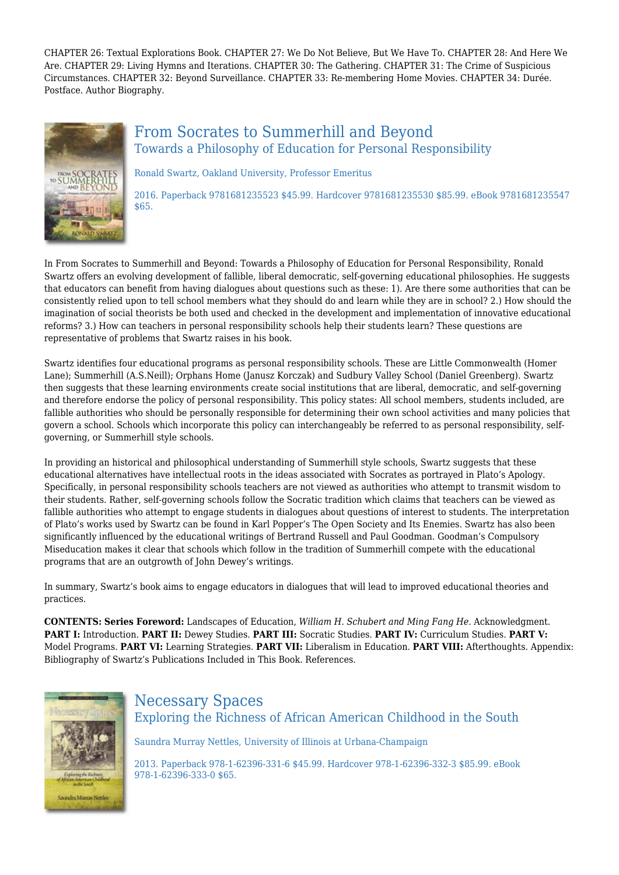CHAPTER 26: Textual Explorations Book. CHAPTER 27: We Do Not Believe, But We Have To. CHAPTER 28: And Here We Are. CHAPTER 29: Living Hymns and Iterations. CHAPTER 30: The Gathering. CHAPTER 31: The Crime of Suspicious Circumstances. CHAPTER 32: Beyond Surveillance. CHAPTER 33: Re-membering Home Movies. CHAPTER 34: Durée. Postface. Author Biography.



### From Socrates to Summerhill and Beyond Towards a Philosophy of Education for Personal Responsibility

Ronald Swartz, Oakland University, Professor Emeritus

2016. Paperback 9781681235523 \$45.99. Hardcover 9781681235530 \$85.99. eBook 9781681235547 \$65.

In From Socrates to Summerhill and Beyond: Towards a Philosophy of Education for Personal Responsibility, Ronald Swartz offers an evolving development of fallible, liberal democratic, self-governing educational philosophies. He suggests that educators can benefit from having dialogues about questions such as these: 1). Are there some authorities that can be consistently relied upon to tell school members what they should do and learn while they are in school? 2.) How should the imagination of social theorists be both used and checked in the development and implementation of innovative educational reforms? 3.) How can teachers in personal responsibility schools help their students learn? These questions are representative of problems that Swartz raises in his book.

Swartz identifies four educational programs as personal responsibility schools. These are Little Commonwealth (Homer Lane); Summerhill (A.S.Neill); Orphans Home (Janusz Korczak) and Sudbury Valley School (Daniel Greenberg). Swartz then suggests that these learning environments create social institutions that are liberal, democratic, and self‐governing and therefore endorse the policy of personal responsibility. This policy states: All school members, students included, are fallible authorities who should be personally responsible for determining their own school activities and many policies that govern a school. Schools which incorporate this policy can interchangeably be referred to as personal responsibility, self‐ governing, or Summerhill style schools.

In providing an historical and philosophical understanding of Summerhill style schools, Swartz suggests that these educational alternatives have intellectual roots in the ideas associated with Socrates as portrayed in Plato's Apology. Specifically, in personal responsibility schools teachers are not viewed as authorities who attempt to transmit wisdom to their students. Rather, self‐governing schools follow the Socratic tradition which claims that teachers can be viewed as fallible authorities who attempt to engage students in dialogues about questions of interest to students. The interpretation of Plato's works used by Swartz can be found in Karl Popper's The Open Society and Its Enemies. Swartz has also been significantly influenced by the educational writings of Bertrand Russell and Paul Goodman. Goodman's Compulsory Miseducation makes it clear that schools which follow in the tradition of Summerhill compete with the educational programs that are an outgrowth of John Dewey's writings.

In summary, Swartz's book aims to engage educators in dialogues that will lead to improved educational theories and practices.

**CONTENTS: Series Foreword:** Landscapes of Education, *William H. Schubert and Ming Fang He.* Acknowledgment. **PART I:** Introduction. **PART II:** Dewey Studies. **PART III:** Socratic Studies. **PART IV:** Curriculum Studies. **PART V:** Model Programs. **PART VI:** Learning Strategies. **PART VII:** Liberalism in Education. **PART VIII:** Afterthoughts. Appendix: Bibliography of Swartz's Publications Included in This Book. References.



### Necessary Spaces Exploring the Richness of African American Childhood in the South

Saundra Murray Nettles, University of Illinois at Urbana-Champaign

2013. Paperback 978-1-62396-331-6 \$45.99. Hardcover 978-1-62396-332-3 \$85.99. eBook 978-1-62396-333-0 \$65.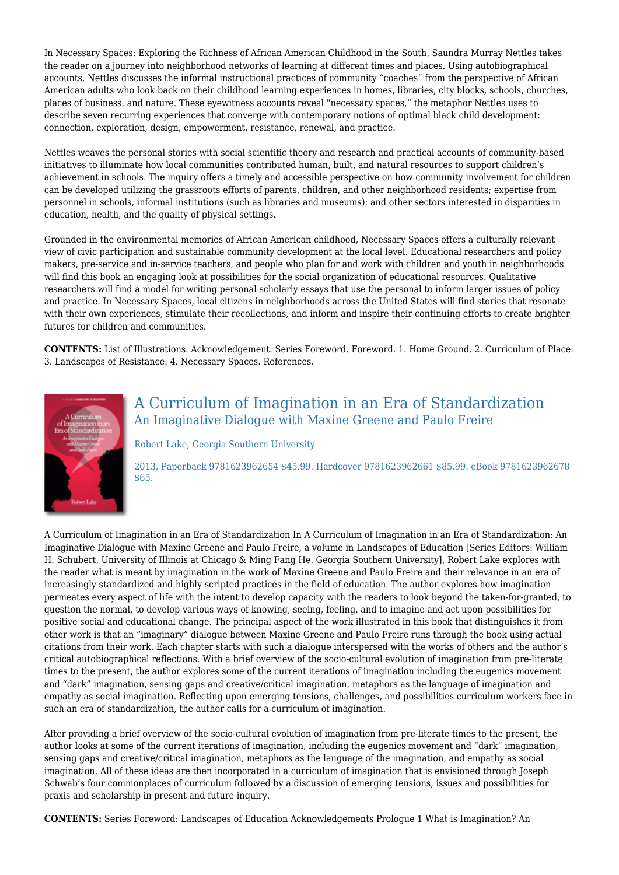In Necessary Spaces: Exploring the Richness of African American Childhood in the South, Saundra Murray Nettles takes the reader on a journey into neighborhood networks of learning at different times and places. Using autobiographical accounts, Nettles discusses the informal instructional practices of community "coaches" from the perspective of African American adults who look back on their childhood learning experiences in homes, libraries, city blocks, schools, churches, places of business, and nature. These eyewitness accounts reveal "necessary spaces," the metaphor Nettles uses to describe seven recurring experiences that converge with contemporary notions of optimal black child development: connection, exploration, design, empowerment, resistance, renewal, and practice.

Nettles weaves the personal stories with social scientific theory and research and practical accounts of community-based initiatives to illuminate how local communities contributed human, built, and natural resources to support children's achievement in schools. The inquiry offers a timely and accessible perspective on how community involvement for children can be developed utilizing the grassroots efforts of parents, children, and other neighborhood residents; expertise from personnel in schools, informal institutions (such as libraries and museums); and other sectors interested in disparities in education, health, and the quality of physical settings.

Grounded in the environmental memories of African American childhood, Necessary Spaces offers a culturally relevant view of civic participation and sustainable community development at the local level. Educational researchers and policy makers, pre-service and in-service teachers, and people who plan for and work with children and youth in neighborhoods will find this book an engaging look at possibilities for the social organization of educational resources. Qualitative researchers will find a model for writing personal scholarly essays that use the personal to inform larger issues of policy and practice. In Necessary Spaces, local citizens in neighborhoods across the United States will find stories that resonate with their own experiences, stimulate their recollections, and inform and inspire their continuing efforts to create brighter futures for children and communities.

**CONTENTS:** List of Illustrations. Acknowledgement. Series Foreword. Foreword. 1. Home Ground. 2. Curriculum of Place. 3. Landscapes of Resistance. 4. Necessary Spaces. References.



### A Curriculum of Imagination in an Era of Standardization An Imaginative Dialogue with Maxine Greene and Paulo Freire

Robert Lake, Georgia Southern University

2013. Paperback 9781623962654 \$45.99. Hardcover 9781623962661 \$85.99. eBook 9781623962678 \$65.

A Curriculum of Imagination in an Era of Standardization In A Curriculum of Imagination in an Era of Standardization: An Imaginative Dialogue with Maxine Greene and Paulo Freire, a volume in Landscapes of Education [Series Editors: William H. Schubert, University of Illinois at Chicago & Ming Fang He, Georgia Southern University], Robert Lake explores with the reader what is meant by imagination in the work of Maxine Greene and Paulo Freire and their relevance in an era of increasingly standardized and highly scripted practices in the field of education. The author explores how imagination permeates every aspect of life with the intent to develop capacity with the readers to look beyond the taken-for-granted, to question the normal, to develop various ways of knowing, seeing, feeling, and to imagine and act upon possibilities for positive social and educational change. The principal aspect of the work illustrated in this book that distinguishes it from other work is that an "imaginary" dialogue between Maxine Greene and Paulo Freire runs through the book using actual citations from their work. Each chapter starts with such a dialogue interspersed with the works of others and the author's critical autobiographical reflections. With a brief overview of the socio-cultural evolution of imagination from pre-literate times to the present, the author explores some of the current iterations of imagination including the eugenics movement and "dark" imagination, sensing gaps and creative/critical imagination, metaphors as the language of imagination and empathy as social imagination. Reflecting upon emerging tensions, challenges, and possibilities curriculum workers face in such an era of standardization, the author calls for a curriculum of imagination.

After providing a brief overview of the socio-cultural evolution of imagination from pre-literate times to the present, the author looks at some of the current iterations of imagination, including the eugenics movement and "dark" imagination, sensing gaps and creative/critical imagination, metaphors as the language of the imagination, and empathy as social imagination. All of these ideas are then incorporated in a curriculum of imagination that is envisioned through Joseph Schwab's four commonplaces of curriculum followed by a discussion of emerging tensions, issues and possibilities for praxis and scholarship in present and future inquiry.

**CONTENTS:** Series Foreword: Landscapes of Education Acknowledgements Prologue 1 What is Imagination? An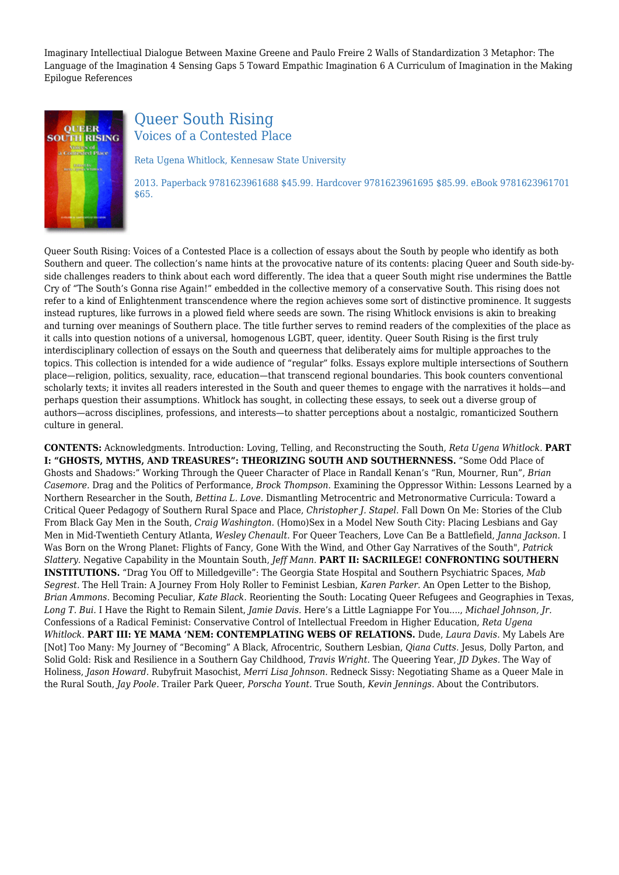Imaginary Intellectiual Dialogue Between Maxine Greene and Paulo Freire 2 Walls of Standardization 3 Metaphor: The Language of the Imagination 4 Sensing Gaps 5 Toward Empathic Imagination 6 A Curriculum of Imagination in the Making Epilogue References



# Queer South Rising Voices of a Contested Place

Reta Ugena Whitlock, Kennesaw State University

2013. Paperback 9781623961688 \$45.99. Hardcover 9781623961695 \$85.99. eBook 9781623961701 \$65.

Queer South Rising: Voices of a Contested Place is a collection of essays about the South by people who identify as both Southern and queer. The collection's name hints at the provocative nature of its contents: placing Queer and South side-byside challenges readers to think about each word differently. The idea that a queer South might rise undermines the Battle Cry of "The South's Gonna rise Again!" embedded in the collective memory of a conservative South. This rising does not refer to a kind of Enlightenment transcendence where the region achieves some sort of distinctive prominence. It suggests instead ruptures, like furrows in a plowed field where seeds are sown. The rising Whitlock envisions is akin to breaking and turning over meanings of Southern place. The title further serves to remind readers of the complexities of the place as it calls into question notions of a universal, homogenous LGBT, queer, identity. Queer South Rising is the first truly interdisciplinary collection of essays on the South and queerness that deliberately aims for multiple approaches to the topics. This collection is intended for a wide audience of "regular" folks. Essays explore multiple intersections of Southern place—religion, politics, sexuality, race, education—that transcend regional boundaries. This book counters conventional scholarly texts; it invites all readers interested in the South and queer themes to engage with the narratives it holds—and perhaps question their assumptions. Whitlock has sought, in collecting these essays, to seek out a diverse group of authors—across disciplines, professions, and interests—to shatter perceptions about a nostalgic, romanticized Southern culture in general.

**CONTENTS:** Acknowledgments. Introduction: Loving, Telling, and Reconstructing the South, *Reta Ugena Whitlock.* **PART I: "GHOSTS, MYTHS, AND TREASURES": THEORIZING SOUTH AND SOUTHERNNESS.** "Some Odd Place of Ghosts and Shadows:" Working Through the Queer Character of Place in Randall Kenan's "Run, Mourner, Run", *Brian Casemore.* Drag and the Politics of Performance, *Brock Thompson.* Examining the Oppressor Within: Lessons Learned by a Northern Researcher in the South, *Bettina L. Love.* Dismantling Metrocentric and Metronormative Curricula: Toward a Critical Queer Pedagogy of Southern Rural Space and Place, *Christopher J. Stapel.* Fall Down On Me: Stories of the Club From Black Gay Men in the South, *Craig Washington.* (Homo)Sex in a Model New South City: Placing Lesbians and Gay Men in Mid-Twentieth Century Atlanta, *Wesley Chenault.* For Queer Teachers, Love Can Be a Battlefield, *Janna Jackson.* I Was Born on the Wrong Planet: Flights of Fancy, Gone With the Wind, and Other Gay Narratives of the South", *Patrick Slattery.* Negative Capability in the Mountain South, *Jeff Mann.* **PART II: SACRILEGE! CONFRONTING SOUTHERN INSTITUTIONS.** "Drag You Off to Milledgeville": The Georgia State Hospital and Southern Psychiatric Spaces, *Mab Segrest.* The Hell Train: A Journey From Holy Roller to Feminist Lesbian, *Karen Parker.* An Open Letter to the Bishop, *Brian Ammons.* Becoming Peculiar, *Kate Black.* Reorienting the South: Locating Queer Refugees and Geographies in Texas, *Long T. Bui.* I Have the Right to Remain Silent, *Jamie Davis.* Here's a Little Lagniappe For You...., *Michael Johnson, Jr.* Confessions of a Radical Feminist: Conservative Control of Intellectual Freedom in Higher Education, *Reta Ugena Whitlock.* **PART III: YE MAMA 'NEM: CONTEMPLATING WEBS OF RELATIONS.** Dude, *Laura Davis.* My Labels Are [Not] Too Many: My Journey of "Becoming" A Black, Afrocentric, Southern Lesbian, *Qiana Cutts.* Jesus, Dolly Parton, and Solid Gold: Risk and Resilience in a Southern Gay Childhood, *Travis Wright.* The Queering Year, *JD Dykes.* The Way of Holiness, *Jason Howard.* Rubyfruit Masochist, *Merri Lisa Johnson.* Redneck Sissy: Negotiating Shame as a Queer Male in the Rural South, *Jay Poole.* Trailer Park Queer, *Porscha Yount.* True South, *Kevin Jennings.* About the Contributors.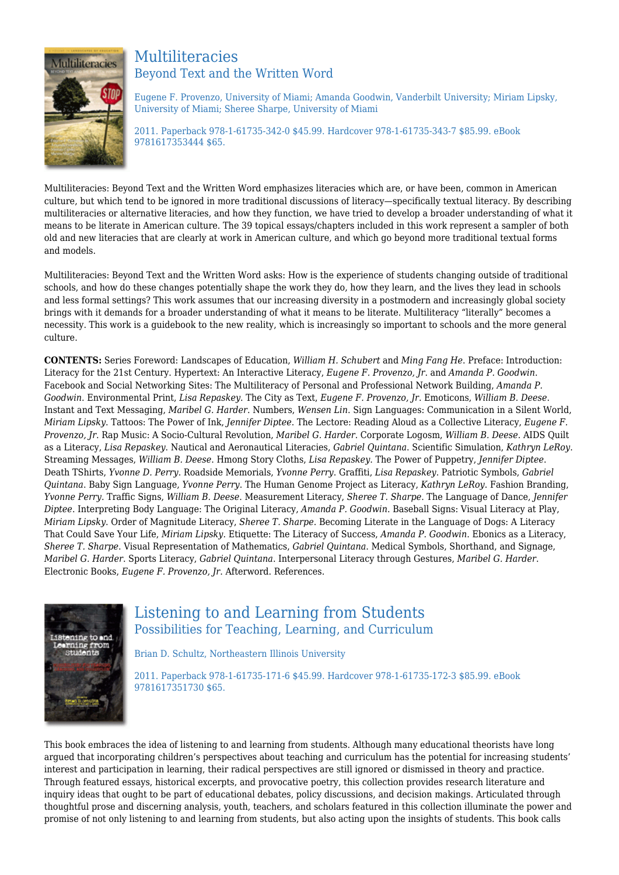

### Multiliteracies Beyond Text and the Written Word

Eugene F. Provenzo, University of Miami; Amanda Goodwin, Vanderbilt University; Miriam Lipsky, University of Miami; Sheree Sharpe, University of Miami

2011. Paperback 978-1-61735-342-0 \$45.99. Hardcover 978-1-61735-343-7 \$85.99. eBook 9781617353444 \$65.

Multiliteracies: Beyond Text and the Written Word emphasizes literacies which are, or have been, common in American culture, but which tend to be ignored in more traditional discussions of literacy—specifically textual literacy. By describing multiliteracies or alternative literacies, and how they function, we have tried to develop a broader understanding of what it means to be literate in American culture. The 39 topical essays/chapters included in this work represent a sampler of both old and new literacies that are clearly at work in American culture, and which go beyond more traditional textual forms and models.

Multiliteracies: Beyond Text and the Written Word asks: How is the experience of students changing outside of traditional schools, and how do these changes potentially shape the work they do, how they learn, and the lives they lead in schools and less formal settings? This work assumes that our increasing diversity in a postmodern and increasingly global society brings with it demands for a broader understanding of what it means to be literate. Multiliteracy "literally" becomes a necessity. This work is a guidebook to the new reality, which is increasingly so important to schools and the more general culture.

**CONTENTS:** Series Foreword: Landscapes of Education, *William H. Schubert* and *Ming Fang He*. Preface: Introduction: Literacy for the 21st Century. Hypertext: An Interactive Literacy, *Eugene F. Provenzo, Jr*. and *Amanda P. Goodwin*. Facebook and Social Networking Sites: The Multiliteracy of Personal and Professional Network Building, *Amanda P. Goodwin*. Environmental Print, *Lisa Repaskey*. The City as Text, *Eugene F. Provenzo, Jr*. Emoticons, *William B. Deese*. Instant and Text Messaging, *Maribel G. Harder*. Numbers, *Wensen Lin*. Sign Languages: Communication in a Silent World, *Miriam Lipsky*. Tattoos: The Power of Ink, *Jennifer Diptee*. The Lectore: Reading Aloud as a Collective Literacy, *Eugene F. Provenzo, Jr*. Rap Music: A Socio-Cultural Revolution, *Maribel G. Harder*. Corporate Logosm, *William B. Deese*. AIDS Quilt as a Literacy, *Lisa Repaskey*. Nautical and Aeronautical Literacies, *Gabriel Quintana*. Scientific Simulation, *Kathryn LeRoy*. Streaming Messages, *William B. Deese*. Hmong Story Cloths, *Lisa Repaskey*. The Power of Puppetry, *Jennifer Diptee*. Death TShirts, *Yvonne D. Perry*. Roadside Memorials, *Yvonne Perry*. Graffiti, *Lisa Repaskey*. Patriotic Symbols, *Gabriel Quintana*. Baby Sign Language, *Yvonne Perry*. The Human Genome Project as Literacy, *Kathryn LeRoy*. Fashion Branding, *Yvonne Perry*. Traffic Signs, *William B. Deese*. Measurement Literacy, *Sheree T. Sharpe*. The Language of Dance, *Jennifer Diptee*. Interpreting Body Language: The Original Literacy, *Amanda P. Goodwin*. Baseball Signs: Visual Literacy at Play, *Miriam Lipsky*. Order of Magnitude Literacy, *Sheree T. Sharpe*. Becoming Literate in the Language of Dogs: A Literacy That Could Save Your Life, *Miriam Lipsky*. Etiquette: The Literacy of Success, *Amanda P. Goodwin*. Ebonics as a Literacy, *Sheree T. Sharpe*. Visual Representation of Mathematics, *Gabriel Quintana*. Medical Symbols, Shorthand, and Signage, *Maribel G. Harder*. Sports Literacy, *Gabriel Quintana*. Interpersonal Literacy through Gestures, *Maribel G. Harder*. Electronic Books, *Eugene F. Provenzo, Jr*. Afterword. References.



# Listening to and Learning from Students Possibilities for Teaching, Learning, and Curriculum

Brian D. Schultz, Northeastern Illinois University

2011. Paperback 978-1-61735-171-6 \$45.99. Hardcover 978-1-61735-172-3 \$85.99. eBook 9781617351730 \$65.

This book embraces the idea of listening to and learning from students. Although many educational theorists have long argued that incorporating children's perspectives about teaching and curriculum has the potential for increasing students' interest and participation in learning, their radical perspectives are still ignored or dismissed in theory and practice. Through featured essays, historical excerpts, and provocative poetry, this collection provides research literature and inquiry ideas that ought to be part of educational debates, policy discussions, and decision makings. Articulated through thoughtful prose and discerning analysis, youth, teachers, and scholars featured in this collection illuminate the power and promise of not only listening to and learning from students, but also acting upon the insights of students. This book calls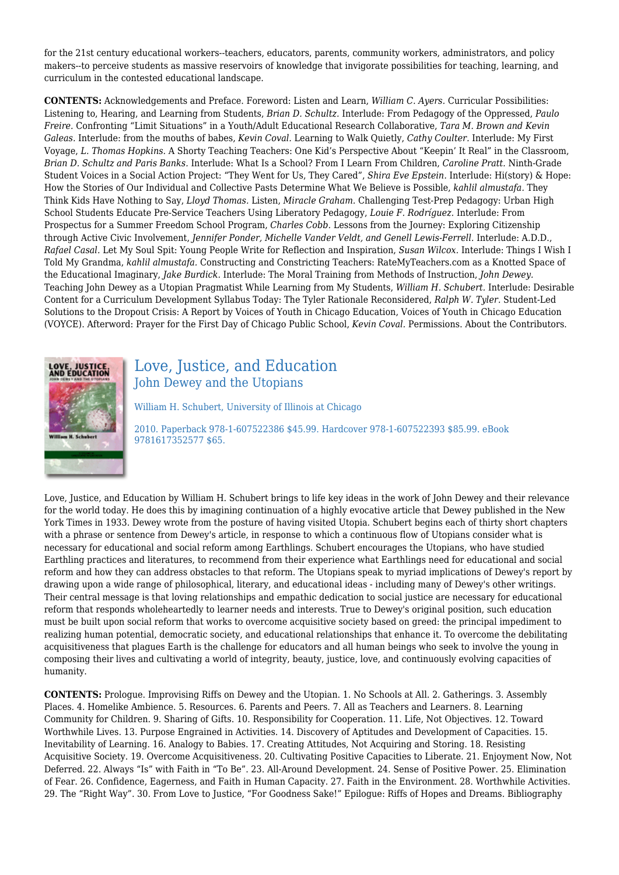for the 21st century educational workers--teachers, educators, parents, community workers, administrators, and policy makers--to perceive students as massive reservoirs of knowledge that invigorate possibilities for teaching, learning, and curriculum in the contested educational landscape.

**CONTENTS:** Acknowledgements and Preface. Foreword: Listen and Learn, *William C. Ayers.* Curricular Possibilities: Listening to, Hearing, and Learning from Students, *Brian D. Schultz.* Interlude: From Pedagogy of the Oppressed, *Paulo Freire.* Confronting "Limit Situations" in a Youth/Adult Educational Research Collaborative, *Tara M. Brown and Kevin Galeas.* Interlude: from the mouths of babes, *Kevin Coval.* Learning to Walk Quietly, *Cathy Coulter.* Interlude: My First Voyage, *L. Thomas Hopkins.* A Shorty Teaching Teachers: One Kid's Perspective About "Keepin' It Real" in the Classroom, *Brian D. Schultz and Paris Banks.* Interlude: What Is a School? From I Learn From Children, *Caroline Pratt.* Ninth-Grade Student Voices in a Social Action Project: "They Went for Us, They Cared", *Shira Eve Epstein.* Interlude: Hi(story) & Hope: How the Stories of Our Individual and Collective Pasts Determine What We Believe is Possible, *kahlil almustafa.* They Think Kids Have Nothing to Say, *Lloyd Thomas.* Listen, *Miracle Graham.* Challenging Test-Prep Pedagogy: Urban High School Students Educate Pre-Service Teachers Using Liberatory Pedagogy, *Louie F. Rodríguez.* Interlude: From Prospectus for a Summer Freedom School Program, *Charles Cobb.* Lessons from the Journey: Exploring Citizenship through Active Civic Involvement, *Jennifer Ponder, Michelle Vander Veldt, and Genell Lewis-Ferrell.* Interlude: A.D.D., *Rafael Casal.* Let My Soul Spit: Young People Write for Reflection and Inspiration, *Susan Wilcox.* Interlude: Things I Wish I Told My Grandma, *kahlil almustafa.* Constructing and Constricting Teachers: RateMyTeachers.com as a Knotted Space of the Educational Imaginary, *Jake Burdick.* Interlude: The Moral Training from Methods of Instruction, *John Dewey.* Teaching John Dewey as a Utopian Pragmatist While Learning from My Students, *William H. Schubert.* Interlude: Desirable Content for a Curriculum Development Syllabus Today: The Tyler Rationale Reconsidered, *Ralph W. Tyler.* Student-Led Solutions to the Dropout Crisis: A Report by Voices of Youth in Chicago Education, Voices of Youth in Chicago Education (VOYCE). Afterword: Prayer for the First Day of Chicago Public School, *Kevin Coval.* Permissions. About the Contributors.



# Love, Justice, and Education John Dewey and the Utopians

William H. Schubert, University of Illinois at Chicago

2010. Paperback 978-1-607522386 \$45.99. Hardcover 978-1-607522393 \$85.99. eBook 9781617352577 \$65.

Love, Justice, and Education by William H. Schubert brings to life key ideas in the work of John Dewey and their relevance for the world today. He does this by imagining continuation of a highly evocative article that Dewey published in the New York Times in 1933. Dewey wrote from the posture of having visited Utopia. Schubert begins each of thirty short chapters with a phrase or sentence from Dewey's article, in response to which a continuous flow of Utopians consider what is necessary for educational and social reform among Earthlings. Schubert encourages the Utopians, who have studied Earthling practices and literatures, to recommend from their experience what Earthlings need for educational and social reform and how they can address obstacles to that reform. The Utopians speak to myriad implications of Dewey's report by drawing upon a wide range of philosophical, literary, and educational ideas - including many of Dewey's other writings. Their central message is that loving relationships and empathic dedication to social justice are necessary for educational reform that responds wholeheartedly to learner needs and interests. True to Dewey's original position, such education must be built upon social reform that works to overcome acquisitive society based on greed: the principal impediment to realizing human potential, democratic society, and educational relationships that enhance it. To overcome the debilitating acquisitiveness that plagues Earth is the challenge for educators and all human beings who seek to involve the young in composing their lives and cultivating a world of integrity, beauty, justice, love, and continuously evolving capacities of humanity.

**CONTENTS:** Prologue. Improvising Riffs on Dewey and the Utopian. 1. No Schools at All. 2. Gatherings. 3. Assembly Places. 4. Homelike Ambience. 5. Resources. 6. Parents and Peers. 7. All as Teachers and Learners. 8. Learning Community for Children. 9. Sharing of Gifts. 10. Responsibility for Cooperation. 11. Life, Not Objectives. 12. Toward Worthwhile Lives. 13. Purpose Engrained in Activities. 14. Discovery of Aptitudes and Development of Capacities. 15. Inevitability of Learning. 16. Analogy to Babies. 17. Creating Attitudes, Not Acquiring and Storing. 18. Resisting Acquisitive Society. 19. Overcome Acquisitiveness. 20. Cultivating Positive Capacities to Liberate. 21. Enjoyment Now, Not Deferred. 22. Always "Is" with Faith in "To Be". 23. All-Around Development. 24. Sense of Positive Power. 25. Elimination of Fear. 26. Confidence, Eagerness, and Faith in Human Capacity. 27. Faith in the Environment. 28. Worthwhile Activities. 29. The "Right Way". 30. From Love to Justice, "For Goodness Sake!" Epilogue: Riffs of Hopes and Dreams. Bibliography